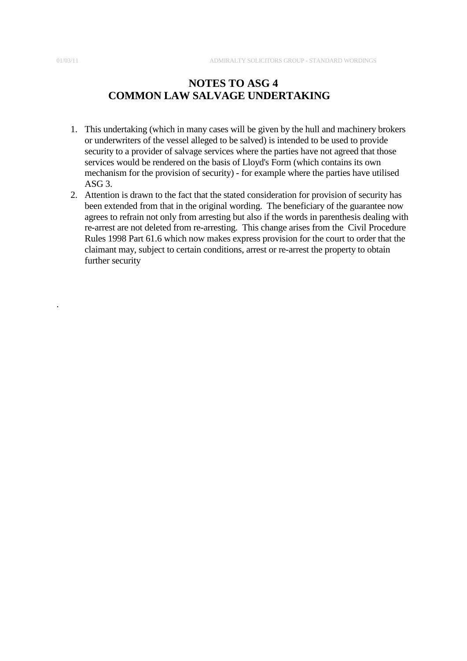.

## **NOTES TO ASG 4 COMMON LAW SALVAGE UNDERTAKING**

- 1. This undertaking (which in many cases will be given by the hull and machinery brokers or underwriters of the vessel alleged to be salved) is intended to be used to provide security to a provider of salvage services where the parties have not agreed that those services would be rendered on the basis of Lloyd's Form (which contains its own mechanism for the provision of security) - for example where the parties have utilised ASG 3.
- 2. Attention is drawn to the fact that the stated consideration for provision of security has been extended from that in the original wording. The beneficiary of the guarantee now agrees to refrain not only from arresting but also if the words in parenthesis dealing with re-arrest are not deleted from re-arresting. This change arises from the Civil Procedure Rules 1998 Part 61.6 which now makes express provision for the court to order that the claimant may, subject to certain conditions, arrest or re-arrest the property to obtain further security